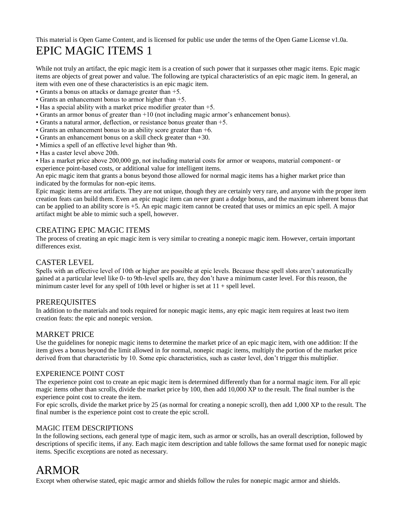# This material is Open Game Content, and is licensed for public use under the terms of the Open Game License v1.0a. EPIC MAGIC ITEMS 1

While not truly an artifact, the epic magic item is a creation of such power that it surpasses other magic items*.* Epic magic items are objects of great power and value. The following are typical characteristics of an epic magic item. In general, an item with even one of these characteristics is an epic magic item.

- Grants a bonus on attacks or damage greater than +5.
- Grants an enhancement bonus to armor higher than +5.
- Has a special ability with a market price modifier greater than +5.
- Grants an armor bonus of greater than +10 (not including magic armor's enhancement bonus).
- Grants a natural armor, deflection, or resistance bonus greater than +5.
- Grants an enhancement bonus to an ability score greater than +6.
- Grants an enhancement bonus on a skill check greater than +30.
- Mimics a spell of an effective level higher than 9th.
- Has a caster level above 20th.

• Has a market price above 200,000 gp, not including material costs for armor or weapons, material component- or experience point-based costs, or additional value for intelligent items.

An epic magic item that grants a bonus beyond those allowed for normal magic items has a higher market price than indicated by the formulas for non-epic items.

Epic magic items are not artifacts. They are not unique, though they are certainly very rare, and anyone with the proper item creation feats can build them. Even an epic magic item can never grant a dodge bonus, and the maximum inherent bonus that can be applied to an ability score is +5. An epic magic item cannot be created that uses or mimics an epic spell. A major artifact might be able to mimic such a spell, however.

# CREATING EPIC MAGIC ITEMS

The process of creating an epic magic item is very similar to creating a nonepic magic item. However, certain important differences exist.

# CASTER LEVEL

Spells with an effective level of 10th or higher are possible at epic levels. Because these spell slots aren't automatically gained at a particular level like 0- to 9th-level spells are, they don't have a minimum caster level. For this reason, the minimum caster level for any spell of 10th level or higher is set at  $11 +$  spell level.

# PREREQUISITES

In addition to the materials and tools required for nonepic magic items*,* any epic magic item requires at least two item creation feats: the epic and nonepic version.

# MARKET PRICE

Use the guidelines for nonepic magic items to determine the market price of an epic magic item, with one addition: If the item gives a bonus beyond the limit allowed in for normal, nonepic magic items*,* multiply the portion of the market price derived from that characteristic by 10. Some epic characteristics, such as caster level, don't trigger this multiplier.

### EXPERIENCE POINT COST

The experience point cost to create an epic magic item is determined differently than for a normal magic item. For all epic magic items other than scrolls, divide the market price by 100, then add 10,000 XP to the result. The final number is the experience point cost to create the item.

For epic scrolls, divide the market price by 25 (as normal for creating a nonepic scroll), then add 1,000 XP to the result. The final number is the experience point cost to create the epic scroll.

### MAGIC ITEM DESCRIPTIONS

In the following sections, each general type of magic item, such as armor or scrolls, has an overall description, followed by descriptions of specific items, if any. Each magic item description and table follows the same format used for nonepic magic items*.* Specific exceptions are noted as necessary.

# ARMOR

Except when otherwise stated, epic magic armor and shields follow the rules for nonepic magic armor and shields*.*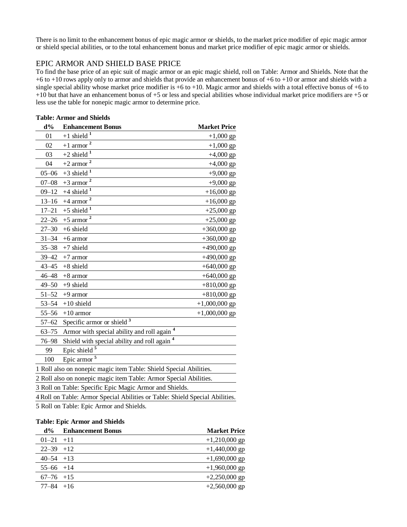There is no limit to the enhancement bonus of epic magic armor or shields, to the market price modifier of epic magic armor or shield special abilities, or to the total enhancement bonus and market price modifier of epic magic armor or shields.

### EPIC ARMOR AND SHIELD BASE PRICE

To find the base price of an epic suit of magic armor or an epic magic shield, roll on Table: Armor and Shields. Note that the +6 to +10 rows apply only to armor and shields that provide an enhancement bonus of +6 to +10 or armor and shields with a single special ability whose market price modifier is +6 to +10. Magic armor and shields with a total effective bonus of +6 to +10 but that have an enhancement bonus of +5 or less and special abilities whose individual market price modifiers are +5 or less use the table for nonepic magic armor to determine price.

| <b>Table: Armor and Shields</b>                                              |                                                                    |                     |  |
|------------------------------------------------------------------------------|--------------------------------------------------------------------|---------------------|--|
| $d\%$                                                                        | <b>Enhancement Bonus</b>                                           | <b>Market Price</b> |  |
| 01                                                                           | $+1$ shield <sup>1</sup>                                           | $+1,000$ gp         |  |
| 02                                                                           | $+1$ armor                                                         | $+1,000$ gp         |  |
| 03                                                                           | $+2$ shield <sup>1</sup>                                           | $+4,000$ gp         |  |
| 04                                                                           | $+2$ armor <sup>2</sup>                                            | $+4,000$ gp         |  |
| $05 - 06$                                                                    | $+3$ shield <sup>1</sup>                                           | $+9,000$ gp         |  |
| $07 - 08$                                                                    | $+3$ armor <sup>2</sup>                                            | $+9,000$ gp         |  |
| $09 - 12$                                                                    | $+4$ shield <sup>1</sup>                                           | $+16,000$ gp        |  |
| $13 - 16$                                                                    | $+4$ armor                                                         | $+16,000$ gp        |  |
| $17 - 21$                                                                    | $+5$ shield <sup>1</sup>                                           | $+25,000$ gp        |  |
| $22 - 26$                                                                    | $+5$ armor <sup>2</sup>                                            | $+25,000$ gp        |  |
| $27 - 30$                                                                    | $+6$ shield                                                        | $+360,000$ gp       |  |
| $31 - 34$                                                                    | $+6$ armor                                                         | $+360,000$ gp       |  |
| $35 - 38$                                                                    | $+7$ shield                                                        | $+490,000$ gp       |  |
| $39 - 42$                                                                    | $+7$ armor                                                         | $+490,000$ gp       |  |
| $43 - 45$                                                                    | $+8$ shield                                                        | $+640,000$ gp       |  |
| 46-48                                                                        | $+8$ armor                                                         | $+640,000$ gp       |  |
| $49 - 50$                                                                    | $+9$ shield                                                        | $+810,000$ gp       |  |
| $51 - 52$                                                                    | $+9$ armor                                                         | $+810,000$ gp       |  |
| $53 - 54$                                                                    | $+10$ shield                                                       | $+1,000,000$ gp     |  |
| $55 - 56$                                                                    | $+10$ armor                                                        | $+1,000,000$ gp     |  |
| $57 - 62$                                                                    | Specific armor or shield <sup>3</sup>                              |                     |  |
| $63 - 75$                                                                    | Armor with special ability and roll again <sup>4</sup>             |                     |  |
| $76 - 98$                                                                    | Shield with special ability and roll again <sup>4</sup>            |                     |  |
| 99                                                                           | Epic shield <sup>5</sup>                                           |                     |  |
| 100                                                                          | Epic armor <sup>5</sup>                                            |                     |  |
|                                                                              | 1 Roll also on nonepic magic item Table: Shield Special Abilities. |                     |  |
|                                                                              | 2 Roll also on nonepic magic item Table: Armor Special Abilities.  |                     |  |
| 3 Roll on Table: Specific Epic Magic Armor and Shields.                      |                                                                    |                     |  |
| 4 Roll on Table: Armor Special Abilities or Table: Shield Special Abilities. |                                                                    |                     |  |
| 5 Roll on Table: Epic Armor and Shields.                                     |                                                                    |                     |  |

### **Table: Epic Armor and Shields**

| $d\%$          | <b>Enhancement Bonus</b> | <b>Market Price</b> |
|----------------|--------------------------|---------------------|
| $01-21$ +11    |                          | $+1,210,000$ gp     |
| $22 - 39 + 12$ |                          | $+1,440,000$ gp     |
| $40 - 54 + 13$ |                          | $+1,690,000$ gp     |
| $55-66$ +14    |                          | $+1,960,000$ gp     |
| $67-76$ +15    |                          | $+2,250,000$ gp     |
| $77 - 84 + 16$ |                          | $+2,560,000$ gp     |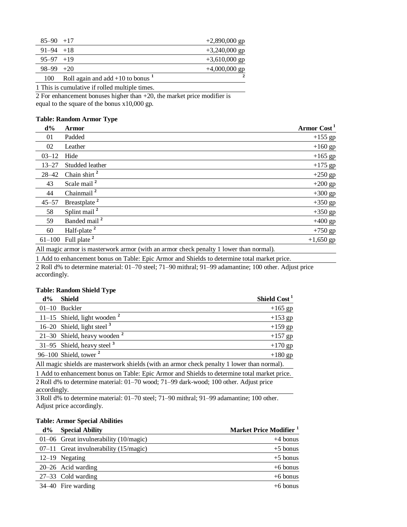| $85 - 90 + 17$ |                                       | $+2,890,000$ gp |
|----------------|---------------------------------------|-----------------|
| $91 - 94 + 18$ |                                       | $+3,240,000$ gp |
| $95 - 97 + 19$ |                                       | $+3,610,000$ gp |
| $98 - 99 + 20$ |                                       | $+4,000,000$ gp |
| 100            | Roll again and add $+10$ to bonus $1$ |                 |

1 This is cumulative if rolled multiple times.

2 For enhancement bonuses higher than +20, the market price modifier is equal to the square of the bonus x10,000 gp.

#### **Table: Random Armor Type**

| $d\%$      | <b>Armor</b>             | Armor Cost <sup>1</sup> |
|------------|--------------------------|-------------------------|
| 01         | Padded                   | $+155$ gp               |
| 02         | Leather                  | $+160$ gp               |
| $03 - 12$  | Hide                     | $+165$ gp               |
| $13 - 27$  | Studded leather          | $+175$ gp               |
| $28 - 42$  | Chain shirt <sup>2</sup> | $+250$ gp               |
| 43         | Scale mail <sup>2</sup>  | $+200$ gp               |
| 44         | Chainmail <sup>2</sup>   | $+300$ gp               |
| $45 - 57$  | Breastplate <sup>2</sup> | $+350$ gp               |
| 58         | Splint mail <sup>2</sup> | $+350$ gp               |
| 59         | Banded mail <sup>2</sup> | $+400$ gp               |
| 60         | Half-plate <sup>2</sup>  | $+750$ gp               |
| $61 - 100$ | Full plate <sup>2</sup>  | $+1,650$ gp             |

All magic armor is masterwork armor (with an armor check penalty 1 lower than normal).

1 Add to enhancement bonus on Table: Epic Armor and Shields to determine total market price.

2 Roll d% to determine material: 01–70 steel; 71–90 mithral; 91–99 adamantine; 100 other. Adjust price accordingly.

### **Table: Random Shield Type**

| $d\%$                                                                                       | Shield                         | Shield Cost <sup>1</sup> |
|---------------------------------------------------------------------------------------------|--------------------------------|--------------------------|
|                                                                                             | $01-10$ Buckler                | $+165$ gp                |
|                                                                                             | 11–15 Shield, light wooden $2$ | $+153$ gp                |
|                                                                                             | 16–20 Shield, light steel $3$  | $+159$ gp                |
|                                                                                             | 21–30 Shield, heavy wooden $2$ | $+157$ gp                |
|                                                                                             | 31–95 Shield, heavy steel $3$  | $+170$ gp                |
|                                                                                             | 96–100 Shield, tower $2$       | $+180$ gp                |
| All magic shields are masterwork shields (with an armor check penalty 1 lower than normal). |                                |                          |

1 Add to enhancement bonus on Table: Epic Armor and Shields to determine total market price. 2Roll d% to determine material: 01–70 wood; 71–99 dark-wood; 100 other. Adjust price accordingly.

3Roll d% to determine material: 01–70 steel; 71–90 mithral; 91–99 adamantine; 100 other. Adjust price accordingly.

## **Table: Armor Special Abilities**

| <b>Special Ability</b><br>$d\%$ |                                          | Market Price Modifier <sup>1</sup> |
|---------------------------------|------------------------------------------|------------------------------------|
|                                 | $01-06$ Great invulnerability (10/magic) | $+4$ bonus                         |
|                                 | $07-11$ Great invulnerability (15/magic) | $+5$ bonus                         |
| 12–19 Negating                  |                                          | $+5$ bonus                         |
| $20-26$ Acid warding            |                                          | $+6$ bonus                         |
| 27–33 Cold warding              |                                          | $+6$ bonus                         |
| 34–40 Fire warding              |                                          | $+6$ bonus                         |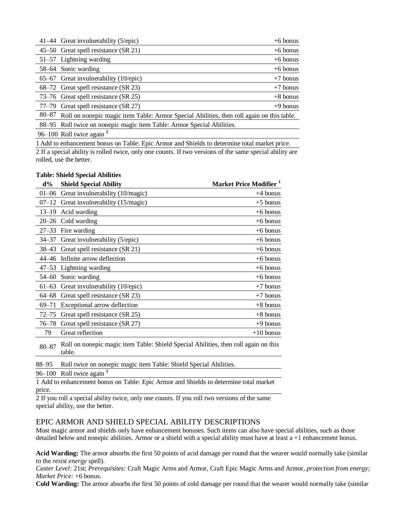|           | 41–44 Great invulnerability (5/epic)                                                      | $+6$ bonus |
|-----------|-------------------------------------------------------------------------------------------|------------|
|           | 45–50 Great spell resistance (SR 21)                                                      | $+6$ bonus |
|           | 51–57 Lightning warding                                                                   | $+6$ bonus |
|           | 58–64 Sonic warding                                                                       | $+6$ bonus |
|           | 65–67 Great invulnerability (10/epic)                                                     | $+7$ bonus |
|           | 68–72 Great spell resistance (SR 23)                                                      | $+7$ bonus |
|           | 73–76 Great spell resistance (SR 25)                                                      | $+8$ bonus |
|           | 77–79 Great spell resistance (SR 27)                                                      | $+9$ bonus |
| $80 - 87$ | Roll on nonepic magic item Table: Armor Special Abilities, then roll again on this table. |            |
|           | 88–95 Roll twice on nonepic magic item Table: Armor Special Abilities.                    |            |
|           | 96–100 Roll twice again $^2$                                                              |            |

1 Add to enhancement bonus on Table: Epic Armor and Shields to determine total market price.

2 If a special ability is rolled twice, only one counts. If two versions of the same special ability are rolled, use the better.

|           | Table: Shield Special Abilities                                                               |                                    |
|-----------|-----------------------------------------------------------------------------------------------|------------------------------------|
| $d\%$     | <b>Shield Special Ability</b>                                                                 | Market Price Modifier <sup>1</sup> |
|           | $01-06$ Great invulnerability $(10/magic)$                                                    | $+4$ bonus                         |
| 07–12     | Great invulnerability (15/magic)                                                              | $+5$ bonus                         |
| $13 - 19$ | Acid warding                                                                                  | $+6$ bonus                         |
|           | 20–26 Cold warding                                                                            | $+6$ bonus                         |
| 27–33     | Fire warding                                                                                  | $+6$ bonus                         |
| 34–37     | Great invulnerability (5/epic)                                                                | $+6$ bonus                         |
|           | 38–43 Great spell resistance (SR 21)                                                          | $+6$ bonus                         |
|           | 44–46 Infinite arrow deflection                                                               | $+6$ bonus                         |
|           | 47–53 Lightning warding                                                                       | $+6$ bonus                         |
| 54–60     | Sonic warding                                                                                 | $+6$ bonus                         |
| 61–63     | Great invulnerability (10/epic)                                                               | $+7$ bonus                         |
| 64–68     | Great spell resistance (SR 23)                                                                | $+7$ bonus                         |
| $69 - 71$ | Exceptional arrow deflection                                                                  | $+8$ bonus                         |
| 72–75     | Great spell resistance (SR 25)                                                                | $+8$ bonus                         |
| $76 - 78$ | Great spell resistance (SR 27)                                                                | $+9$ bonus                         |
| 79        | Great reflection                                                                              | $+10$ bonus                        |
| $80 - 87$ | Roll on nonepic magic item Table: Shield Special Abilities, then roll again on this<br>table. |                                    |

88–95 Roll twice on nonepic magic item Table: Shield Special Abilities.

96–100 Roll twice again **<sup>2</sup>**

**Table: Shield Special Abilities** 

1 Add to enhancement bonus on Table: Epic Armor and Shields to determine total market price.

2 If you roll a special ability twice, only one counts. If you roll two versions of the same special ability, use the better.

### EPIC ARMOR AND SHIELD SPECIAL ABILITY DESCRIPTIONS

Most magic armor and shields only have enhancement bonuses. Such items can also have special abilities, such as those detailed below and nonepic abilities*.* Armor or a shield with a special ability must have at least a +1 enhancement bonus.

**Acid Warding:** The armor absorbs the first 50 points of acid damage per round that the wearer would normally take (similar to the *resist energy* spell).

*Caster Level:* 21st; *Prerequisites:* Craft Magic Arms and Armor, Craft Epic Magic Arms and Armor, *protection from energy; Market Price:* +6 bonus.

**Cold Warding:** The armor absorbs the first 50 points of cold damage per round that the wearer would normally take (similar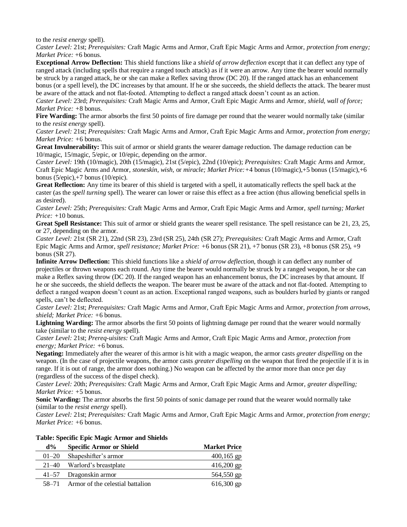to the *resist energy* spell).

*Caster Level:* 21st; *Prerequisites:* Craft Magic Arms and Armor, Craft Epic Magic Arms and Armor, *protection from energy; Market Price:* +6 bonus.

**Exceptional Arrow Deflection:** This shield functions like a *shield of arrow deflection* except that it can deflect any type of ranged attack (including spells that require a ranged touch attack) as if it were an arrow. Any time the bearer would normally be struck by a ranged attack, he or she can make a Reflex saving throw (DC 20). If the ranged attack has an enhancement bonus (or a spell level), the DC increases by that amount. If he or she succeeds, the shield deflects the attack. The bearer must be aware of the attack and not flat-footed. Attempting to deflect a ranged attack doesn't count as an action.

*Caster Level:* 23rd; *Prerequisites:* Craft Magic Arms and Armor, Craft Epic Magic Arms and Armor, *shield, wall of force; Market Price: +*8 bonus.

**Fire Warding:** The armor absorbs the first 50 points of fire damage per round that the wearer would normally take (similar to the *resist energy* spell).

*Caster Level:* 21st; *Prerequisites:* Craft Magic Arms and Armor, Craft Epic Magic Arms and Armor, *protection from energy; Market Price: +*6 bonus.

**Great Invulnerability:** This suit of armor or shield grants the wearer damage reduction. The damage reduction can be 10/magic, 15/magic, 5/epic, or 10/epic, depending on the armor.

*Caster Level:* 19th (10/magic), 20th (15/magic), 21st (5/epic), 22nd (10/epic); *Prerequisites:* Craft Magic Arms and Armor, Craft Epic Magic Arms and Armor, *stoneskin, wish,* or *miracle; Market Price:+*4 bonus (10/magic),+5 bonus (15/magic),+6 bonus  $(5/epic)$ , +7 bonus  $(10/epic)$ .

**Great Reflection:** Any time its bearer of this shield is targeted with a spell, it automatically reflects the spell back at the caster (as the *spell turning* spell). The wearer can lower or raise this effect as a free action (thus allowing beneficial spells in as desired).

*Caster Level:* 25th; *Prerequisites:* Craft Magic Arms and Armor, Craft Epic Magic Arms and Armor, *spell turning; Market Price: +*10 bonus.

Great Spell Resistance: This suit of armor or shield grants the wearer spell resistance. The spell resistance can be 21, 23, 25, or 27, depending on the armor.

*Caster Level:* 21st (SR 21), 22nd (SR 23), 23rd (SR 25), 24th (SR 27); *Prerequisites:* Craft Magic Arms and Armor, Craft Epic Magic Arms and Armor, *spell resistance; Market Price: +*6 bonus (SR 21), +7 bonus (SR 23), +8 bonus (SR 25), +9 bonus (SR 27).

**Infinite Arrow Deflection:** This shield functions like a *shield of arrow deflection*, though it can deflect any number of projectiles or thrown weapons each round. Any time the bearer would normally be struck by a ranged weapon, he or she can make a Reflex saving throw (DC 20). If the ranged weapon has an enhancement bonus, the DC increases by that amount. If he or she succeeds, the shield deflects the weapon. The bearer must be aware of the attack and not flat-footed. Attempting to deflect a ranged weapon doesn't count as an action. Exceptional ranged weapons, such as boulders hurled by giants or ranged spells*,* can't be deflected.

*Caster Level:* 21st; *Prerequisites:* Craft Magic Arms and Armor, Craft Epic Magic Arms and Armor, *protection from arrows, shield; Market Price: +*6 bonus.

**Lightning Warding:** The armor absorbs the first 50 points of lightning damage per round that the wearer would normally take (similar to the *resist energy* spell).

*Caster Level:* 21st; *Prereq-uisites:* Craft Magic Arms and Armor, Craft Epic Magic Arms and Armor, *protection from energy; Market Price: +*6 bonus.

**Negating:** Immediately after the wearer of this armor is hit with a magic weapon, the armor casts *greater dispelling* on the weapon. (In the case of projectile weapons, the armor casts *greater dispelling* on the weapon that fired the projectile if it is in range. If it is out of range, the armor does nothing.) No weapon can be affected by the armor more than once per day (regardless of the success of the dispel check).

*Caster Level:* 20th; *Prerequisites:* Craft Magic Arms and Armor, Craft Epic Magic Arms and Armor, *greater dispelling; Market Price: +*5 bonus.

**Sonic Warding:** The armor absorbs the first 50 points of sonic damage per round that the wearer would normally take (similar to the *resist energy* spell).

*Caster Level:* 21st; *Prerequisites:* Craft Magic Arms and Armor, Craft Epic Magic Arms and Armor, *protection from energy; Market Price: +*6 bonus.

#### **Table: Specific Epic Magic Armor and Shields**

| $d\%$     | <b>Specific Armor or Shield</b>  | <b>Market Price</b> |
|-----------|----------------------------------|---------------------|
| $01 - 20$ | Shapeshifter's armor             | $400,165$ gp        |
|           | 21–40 Warlord's breastplate      | $416,200$ gp        |
|           | 41–57 Dragonskin armor           | 564,550 gp          |
| 58–71     | Armor of the celestial battalion | $616,300$ gp        |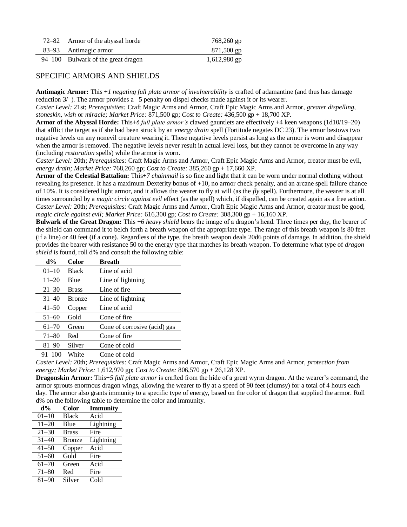| 72–82 Armor of the abyssal horde   | 768,260 gp     |
|------------------------------------|----------------|
| 83–93 Antimagic armor              | 871,500 gp     |
| 94–100 Bulwark of the great dragon | $1,612,980$ gp |

# SPECIFIC ARMORS AND SHIELDS

**Antimagic Armor:** This +*1 negating full plate armor of invulnerability* is crafted of adamantine (and thus has damage reduction 3/–). The armor provides a –5 penalty on dispel checks made against it or its wearer.

*Caster Level:* 21st; *Prerequisites:* Craft Magic Arms and Armor, Craft Epic Magic Arms and Armor, *greater dispelling, stoneskin, wish* or *miracle; Market Price:* 871,500 gp; *Cost to Create:* 436,500 gp + 18,700 XP.

**Armor of the Abyssal Horde:** This+*6 full plate armor's* clawed gauntlets are effectively +4 keen weapons (1d10/19–20) that afflict the target as if she had been struck by an *energy drain* spell (Fortitude negates DC 23). The armor bestows two negative levels on any nonevil creature wearing it. These negative levels persist as long as the armor is worn and disappear when the armor is removed. The negative levels never result in actual level loss, but they cannot be overcome in any way (including *restoration* spells) while the armor is worn.

*Caster Level:* 20th; *Prerequisites:* Craft Magic Arms and Armor, Craft Epic Magic Arms and Armor, creator must be evil, *energy drain; Market Price:* 768,260 gp; *Cost to Create:* 385,260 gp + 17,660 XP.

**Armor of the Celestial Battalion:** This+*7 chainmail* is so fine and light that it can be worn under normal clothing without revealing its presence. It has a maximum Dexterity bonus of +10, no armor check penalty, and an arcane spell failure chance of 10%. It is considered light armor, and it allows the wearer to fly at will (as the *fly* spell). Furthermore, the wearer is at all times surrounded by a *magic circle against evil* effect (as the spell) which, if dispelled, can be created again as a free action. *Caster Level:* 20th; *Prerequisites:* Craft Magic Arms and Armor, Craft Epic Magic Arms and Armor, creator must be good, *magic circle against evil; Market Price:* 616,300 gp; *Cost to Create:* 308,300 gp + 16,160 XP.

**Bulwark of the Great Dragon:** This +*6 heavy shield* bears the image of a dragon's head. Three times per day, the bearer of the shield can command it to belch forth a breath weapon of the appropriate type. The range of this breath weapon is 80 feet (if a line) or 40 feet (if a cone). Regardless of the type, the breath weapon deals 20d6 points of damage. In addition, the shield provides the bearer with resistance 50 to the energy type that matches its breath weapon. To determine what type of *dragon shield* is found, roll d% and consult the following table:

| $d\%$      | <b>Color</b>  | <b>Breath</b>                |
|------------|---------------|------------------------------|
| $01 - 10$  | <b>Black</b>  | Line of acid                 |
| $11 - 20$  | Blue          | Line of lightning            |
| $21 - 30$  | <b>Brass</b>  | Line of fire                 |
| $31 - 40$  | <b>Bronze</b> | Line of lightning            |
| $41 - 50$  | Copper        | Line of acid                 |
| $51 - 60$  | Gold          | Cone of fire                 |
| $61 - 70$  | Green         | Cone of corrosive (acid) gas |
| $71 - 80$  | Red           | Cone of fire                 |
| $81 - 90$  | Silver        | Cone of cold                 |
| $91 - 100$ | White         | Cone of cold                 |

*Caster Level:* 20th; *Prerequisites:* Craft Magic Arms and Armor, Craft Epic Magic Arms and Armor, *protection from energy; Market Price:* 1,612,970 gp; *Cost to Create:* 806,570 gp + 26,128 XP.

**Dragonskin Armor:** This+*5 full plate armor* is crafted from the hide of a great wyrm dragon. At the wearer's command, the armor sprouts enormous dragon wings, allowing the wearer to fly at a speed of 90 feet (clumsy) for a total of 4 hours each day. The armor also grants immunity to a specific type of energy, based on the color of dragon that supplied the armor. Roll d% on the following table to determine the color and immunity.

| $d\%$     | <b>Color</b>  | <b>Immunity</b> |
|-----------|---------------|-----------------|
| $01 - 10$ | <b>Black</b>  | Acid            |
| $11 - 20$ | Blue          | Lightning       |
| $21 - 30$ | <b>Brass</b>  | Fire            |
| $31 - 40$ | <b>Bronze</b> | Lightning       |
| $41 - 50$ | Copper        | Acid            |
| $51 - 60$ | Gold          | Fire            |
| $61 - 70$ | Green         | Acid            |
| $71 - 80$ | Red           | Fire            |
| $81 - 90$ | Silver        | Cold            |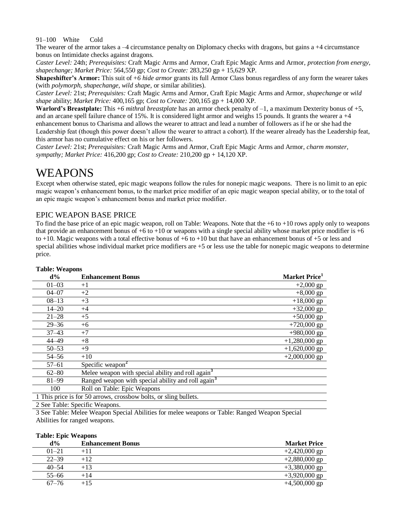91–100 White Cold

The wearer of the armor takes  $a - 4$  circumstance penalty on Diplomacy checks with dragons, but gains  $a + 4$  circumstance bonus on Intimidate checks against dragons.

*Caster Level:* 24th; *Prerequisites:* Craft Magic Arms and Armor, Craft Epic Magic Arms and Armor, *protection from energy, shapechange; Market Price:* 564,550 gp; *Cost to Create:* 283,250 gp + 15,629 XP.

**Shapeshifter's Armor:** This suit of +6 hide armor grants its full Armor Class bonus regardless of any form the wearer takes (with *polymorph, shapechange, wild shape,* or similar abilities).

*Caster Level:* 21st; *Prerequisites:* Craft Magic Arms and Armor, Craft Epic Magic Arms and Armor, *shapechange* or *wild shape* ability; *Market Price:* 400,165 gp; *Cost to Create:* 200,165 gp + 14,000 XP.

**Warlord's Breastplate:** This +*6 mithral breastplate* has an armor check penalty of –1, a maximum Dexterity bonus of +5, and an arcane spell failure chance of 15%. It is considered light armor and weighs 15 pounds. It grants the wearer a +4 enhancement bonus to Charisma and allows the wearer to attract and lead a number of followers as if he or she had the Leadership feat (though this power doesn't allow the wearer to attract a cohort). If the wearer already has the Leadership feat, this armor has no cumulative effect on his or her followers.

*Caster Level:* 21st; *Prerequisites:* Craft Magic Arms and Armor, Craft Epic Magic Arms and Armor, *charm monster, sympathy; Market Price:* 416,200 gp; *Cost to Create:* 210,200 gp + 14,120 XP.

# WEAPONS

Except when otherwise stated, epic magic weapons follow the rules for nonepic magic weapons. There is no limit to an epic magic weapon's enhancement bonus, to the market price modifier of an epic magic weapon special ability, or to the total of an epic magic weapon's enhancement bonus and market price modifier.

# EPIC WEAPON BASE PRICE

To find the base price of an epic magic weapon, roll on Table: Weapons. Note that the +6 to +10 rows apply only to weapons that provide an enhancement bonus of  $+6$  to  $+10$  or weapons with a single special ability whose market price modifier is  $+6$ to  $+10$ . Magic weapons with a total effective bonus of  $+6$  to  $+10$  but that have an enhancement bonus of  $+5$  or less and special abilities whose individual market price modifiers are +5 or less use the table for nonepic magic weapons to determine price.

| $d\%$     | <b>Enhancement Bonus</b>                                         | Market Price <sup>1</sup> |
|-----------|------------------------------------------------------------------|---------------------------|
| $01 - 03$ | $+1$                                                             | $+2,000$ gp               |
| $04 - 07$ | $+2$                                                             | $+8,000$ gp               |
| $08 - 13$ | $+3$                                                             | $+18,000$ gp              |
| $14 - 20$ | $+4$                                                             | $+32,000$ gp              |
| $21 - 28$ | $+5$                                                             | $+50,000$ gp              |
| $29 - 36$ | $+6$                                                             | $+720,000$ gp             |
| $37 - 43$ | $+7$                                                             | $+980,000$ gp             |
| $44 - 49$ | $+8$                                                             | $+1,280,000$ gp           |
| $50 - 53$ | $+9$                                                             | $+1,620,000$ gp           |
| $54 - 56$ | $+10$                                                            | $+2,000,000$ gp           |
| $57 - 61$ | Specific weapon <sup>2</sup>                                     |                           |
| $62 - 80$ | Melee weapon with special ability and roll again <sup>3</sup>    |                           |
| $81 - 99$ | Ranged weapon with special ability and roll again <sup>3</sup>   |                           |
| 100       | Roll on Table: Epic Weapons                                      |                           |
|           | 1 This price is for 50 arrows, crossbow bolts, or sling bullets. |                           |

### **Table: Weapons**

3 See Table: Melee Weapon Special Abilities for melee weapons or Table: Ranged Weapon Special Abilities for ranged weapons.

#### **Table: Epic Weapons**

2 See Table: Specific Weapons.

| $d\%$     | <b>Enhancement Bonus</b> | <b>Market Price</b> |
|-----------|--------------------------|---------------------|
| $01 - 21$ | $+11$                    | $+2,420,000$ gp     |
| $22 - 39$ | $+12$                    | $+2,880,000$ gp     |
| $40 - 54$ | $+13$                    | $+3,380,000$ gp     |
| $55 - 66$ | $+14$                    | $+3,920,000$ gp     |
| $67 - 76$ | $+15$                    | $+4,500,000$ gp     |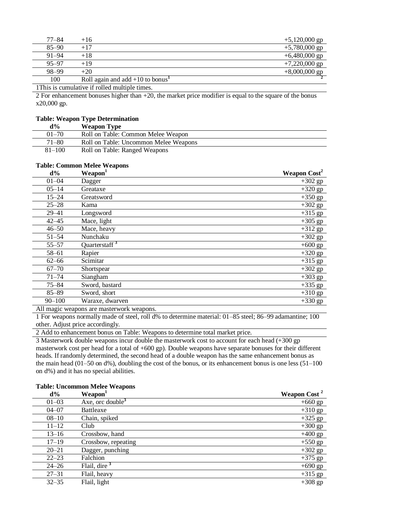| $77 - 84$ | $+16$                                          | $+5,120,000$ gp |
|-----------|------------------------------------------------|-----------------|
| $85 - 90$ | $+17$                                          | $+5,780,000$ gp |
| $91 - 94$ | $+18$                                          | $+6,480,000$ gp |
| $95 - 97$ | $+19$                                          | $+7,220,000$ gp |
| 98-99     | $+20$                                          | $+8,000,000$ gp |
| 100       | Roll again and add $+10$ to bonus <sup>1</sup> |                 |

1This is cumulative if rolled multiple times.

2 For enhancement bonuses higher than +20, the market price modifier is equal to the square of the bonus x20,000 gp.

#### **Table: Weapon Type Determination**

| $d\%$      | Weapon Type                           |
|------------|---------------------------------------|
| $01 - 70$  | Roll on Table: Common Melee Weapon    |
| 71–80      | Roll on Table: Uncommon Melee Weapons |
| $81 - 100$ | Roll on Table: Ranged Weapons         |

#### **Table: Common Melee Weapons**

| $d\%$      | Weapon <sup>1</sup> | Weapon Cost <sup>2</sup> |
|------------|---------------------|--------------------------|
| $01 - 04$  | Dagger              | $+302$ gp                |
| $05 - 14$  | Greataxe            | $+320$ gp                |
| $15 - 24$  | Greatsword          | $+350$ gp                |
| $25 - 28$  | Kama                | $+302$ gp                |
| $29 - 41$  | Longsword           | $+315$ gp                |
| $42 - 45$  | Mace, light         | $+305$ gp                |
| $46 - 50$  | Mace, heavy         | $+312$ gp                |
| $51 - 54$  | Nunchaku            | $+302$ gp                |
| $55 - 57$  | Quarterstaff $3$    | $+600$ gp                |
| 58-61      | Rapier              | $+320$ gp                |
| $62 - 66$  | Scimitar            | $+315$ gp                |
| $67 - 70$  | Shortspear          | $+302$ gp                |
| $71 - 74$  | Siangham            | $+303$ gp                |
| $75 - 84$  | Sword, bastard      | $+335$ gp                |
| $85 - 89$  | Sword, short        | $+310$ gp                |
| $90 - 100$ | Waraxe, dwarven     | $+330$ gp                |
|            |                     |                          |

All magic weapons are masterwork weapons.

1 For weapons normally made of steel, roll d% to determine material: 01–85 steel; 86–99 adamantine; 100 other. Adjust price accordingly.

2 Add to enhancement bonus on Table: Weapons to determine total market price.

3 Masterwork double weapons incur double the masterwork cost to account for each head (+300 gp masterwork cost per head for a total of +600 gp). Double weapons have separate bonuses for their different heads. If randomly determined, the second head of a double weapon has the same enhancement bonus as the main head (01–50 on  $d\%$ ), doubling the cost of the bonus, or its enhancement bonus is one less (51–100) on d%) and it has no special abilities.

#### **Table: Uncommon Melee Weapons**

| $d\%$     | Weapon <sup>1</sup>          | Weapon Cost <sup>2</sup> |
|-----------|------------------------------|--------------------------|
| $01 - 03$ | Axe, orc double <sup>3</sup> | $+660$ gp                |
| $04 - 07$ | Battleaxe                    | $+310$ gp                |
| $08 - 10$ | Chain, spiked                | $+325$ gp                |
| $11 - 12$ | Club                         | $+300$ gp                |
| $13 - 16$ | Crossbow, hand               | $+400$ gp                |
| $17 - 19$ | Crossbow, repeating          | $+550$ gp                |
| $20 - 21$ | Dagger, punching             | $+302$ gp                |
| $22 - 23$ | Falchion                     | $+375$ gp                |
| $24 - 26$ | Flail, dire $3$              | $+690$ gp                |
| $27 - 31$ | Flail, heavy                 | $+315$ gp                |
| $32 - 35$ | Flail, light                 | $+308$ gp                |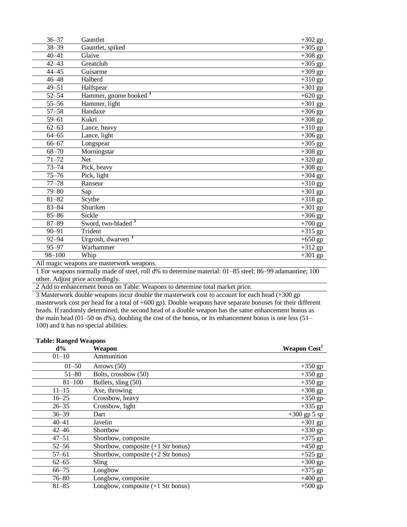| $36 - 37$  | Gauntlet                          | $+302$ gp            |
|------------|-----------------------------------|----------------------|
| $38 - 39$  | Gauntlet, spiked                  | $+305$ gp            |
| $40 - 41$  | Glaive                            | $+308$ gp            |
| $42 - 43$  | Greatclub                         | $+305$ gp            |
| $44 - 45$  | Guisarme                          | $+309$ gp            |
| $46 - 48$  | Halberd                           | $+310$ gp            |
| $49 - 51$  | Halfspear                         | $+301$ gp            |
| $52 - 54$  | Hammer, gnome hooked <sup>3</sup> | $+620$ gp            |
| $55 - 56$  | Hammer, light                     | $+301$ gp            |
| $57 - 58$  | Handaxe                           | $+306$ gp            |
| $59 - 61$  | Kukri                             | $+308$ gp            |
| $62 - 63$  | Lance, heavy                      | $+310$ gp            |
| $64 - 65$  | Lance, light                      | $+306$ gp            |
| $66 - 67$  | Longspear                         | $\overline{+305}$ gp |
| $68 - 70$  | Morningstar                       | $+308$ gp            |
| $71 - 72$  | <b>Net</b>                        | $+320$ gp            |
| $73 - 74$  | Pick, heavy                       | $+308$ gp            |
| $75 - 76$  | Pick, light                       | $+304$ gp            |
| $77 - 78$  | Ranseur                           | $+310$ gp            |
| $79 - 80$  | Sap                               | $\overline{+301}$ gp |
| $81 - 82$  | Scythe                            | $+318$ gp            |
| $83 - 84$  | Shuriken                          | $+301$ gp            |
| $85 - 86$  | Sickle                            | $\overline{+306}$ gp |
| $87 - 89$  | Sword, two-bladed 3               | $+700$ gp            |
| $90 - 91$  | Trident                           | $\overline{+}315$ gp |
| $92 - 94$  | Urgrosh, dwarven <sup>3</sup>     | $\overline{+650}$ gp |
| $95 - 97$  | Warhammer                         | $+312$ gp            |
| $98 - 100$ | Whip                              | $+301$ gp            |

All magic weapons are masterwork weapons.

1 For weapons normally made of steel, roll d% to determine material: 01–85 steel; 86–99 adamantine; 100 other. Adjust price accordingly.

2 Add to enhancement bonus on Table: Weapons to determine total market price.

3 Masterwork double weapons incur double the masterwork cost to account for each head (+300 gp masterwork cost per head for a total of +600 gp). Double weapons have separate bonuses for their different heads. If randomly determined, the second head of a double weapon has the same enhancement bonus as the main head (01–50 on d%), doubling the cost of the bonus, or its enhancement bonus is one less (51– 100) and it has no special abilities.

| <b>Table: Ranged Weapons</b> |                                      |                          |
|------------------------------|--------------------------------------|--------------------------|
| $d\%$                        | Weapon                               | Weapon Cost <sup>1</sup> |
| $01 - 10$                    | Ammunition                           |                          |
| $01 - 50$                    | Arrows $(50)$                        | $+350$ gp                |
| $51 - 80$                    | Bolts, crossbow (50)                 | $+350$ gp                |
| $81 - 100$                   | Bullets, sling (50)                  | $+350$ gp                |
| $11 - 15$                    | Axe, throwing                        | $+308$ gp                |
| $16 - 25$                    | Crossbow, heavy                      | $+350$ gp                |
| $26 - 35$                    | Crossbow, light                      | $+335$ gp                |
| $36 - 39$                    | Dart                                 | $+300$ gp 5 sp           |
| $40 - 41$                    | Javelin                              | $+301$ gp                |
| $42 - 46$                    | Shortbow                             | $+330$ gp                |
| $47 - 51$                    | Shortbow, composite                  | $+375$ gp                |
| $52 - 56$                    | Shortbow, composite $(+1$ Str bonus) | $+450$ gp                |
| $57 - 61$                    | Shortbow, composite $(+2$ Str bonus) | $+525$ gp                |
| $62 - 65$                    | Sling                                | $+300$ gp                |
| $66 - 75$                    | Longbow                              | $+375$ gp                |
| $76 - 80$                    | Longbow, composite                   | $+400$ gp                |
| $81 - 85$                    | Longbow, composite $(+1$ Str bonus)  | $+500$ gp                |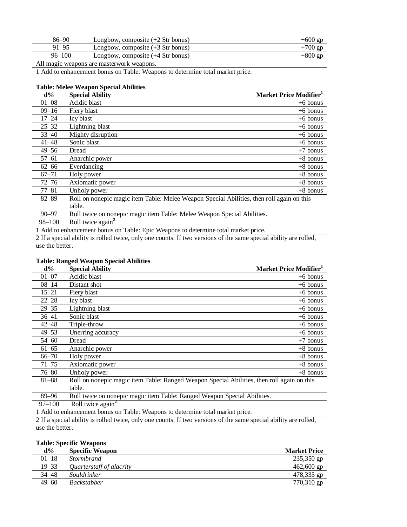| 86–90      | Longbow, composite $(+2 \text{ Str}$ bonus)               | $+600$ gp |
|------------|-----------------------------------------------------------|-----------|
| $91 - 95$  | Longbow, composite $(+3$ Str bonus)                       | $+700$ gp |
| $96 - 100$ | Longbow, composite $(+4$ Str bonus)                       | $+800$ gp |
|            | All secondo concerno con que secondo secondo con que a un |           |

All magic weapons are masterwork weapons.

1 Add to enhancement bonus on Table: Weapons to determine total market price.

### **Table: Melee Weapon Special Abilities**

| $d\%$     | <b>Special Ability</b>                                                                    | Market Price Modifier <sup>1</sup> |
|-----------|-------------------------------------------------------------------------------------------|------------------------------------|
| $01 - 08$ | Acidic blast                                                                              | $+6$ bonus                         |
| $09 - 16$ | Fiery blast                                                                               | $+6$ bonus                         |
| $17 - 24$ | Icy blast                                                                                 | $+6$ bonus                         |
| $25 - 32$ | Lightning blast                                                                           | $+6$ bonus                         |
| $33 - 40$ | Mighty disruption                                                                         | $+6$ bonus                         |
| $41 - 48$ | Sonic blast                                                                               | $+6$ bonus                         |
| $49 - 56$ | Dread                                                                                     | $+7$ bonus                         |
| $57 - 61$ | Anarchic power                                                                            | $+8$ bonus                         |
| $62 - 66$ | Everdancing                                                                               | $+8$ bonus                         |
| $67 - 71$ | Holy power                                                                                | $+8$ bonus                         |
| $72 - 76$ | Axiomatic power                                                                           | $+8$ bonus                         |
| $77 - 81$ | Unholy power                                                                              | $+8$ bonus                         |
| $82 - 89$ | Roll on nonepic magic item Table: Melee Weapon Special Abilities, then roll again on this |                                    |
|           | table.                                                                                    |                                    |
| $90 - 97$ | Roll twice on nonepic magic item Table: Melee Weapon Special Abilities.                   |                                    |

98–100 Roll twice again**<sup>2</sup>**

1 Add to enhancement bonus on Table: Epic Weapons to determine total market price.

2 If a special ability is rolled twice, only one counts. If two versions of the same special ability are rolled, use the better.

#### **Table: Ranged Weapon Special Abilities**

| $d\%$      | <b>Special Ability</b>                                                                                                                                                                                                                                                                                              | Market Price Modifier <sup>1</sup> |
|------------|---------------------------------------------------------------------------------------------------------------------------------------------------------------------------------------------------------------------------------------------------------------------------------------------------------------------|------------------------------------|
| $01 - 07$  | Acidic blast                                                                                                                                                                                                                                                                                                        | $+6$ bonus                         |
| $08 - 14$  | Distant shot                                                                                                                                                                                                                                                                                                        | $+6$ bonus                         |
| $15 - 21$  | Fiery blast                                                                                                                                                                                                                                                                                                         | $+6$ bonus                         |
| $22 - 28$  | Icy blast                                                                                                                                                                                                                                                                                                           | $+6$ bonus                         |
| $29 - 35$  | Lightning blast                                                                                                                                                                                                                                                                                                     | $+6$ bonus                         |
| 36–41      | Sonic blast                                                                                                                                                                                                                                                                                                         | $+6$ bonus                         |
| 42–48      | Triple-throw                                                                                                                                                                                                                                                                                                        | $+6$ bonus                         |
| $49 - 53$  | Unerring accuracy                                                                                                                                                                                                                                                                                                   | $+6$ bonus                         |
| $54 - 60$  | Dread                                                                                                                                                                                                                                                                                                               | $+7$ bonus                         |
| $61 - 65$  | Anarchic power                                                                                                                                                                                                                                                                                                      | $+8$ bonus                         |
| $66 - 70$  | Holy power                                                                                                                                                                                                                                                                                                          | $+8$ bonus                         |
| $71 - 75$  | Axiomatic power                                                                                                                                                                                                                                                                                                     | $+8$ bonus                         |
| 76–80      | Unholy power                                                                                                                                                                                                                                                                                                        | $+8$ bonus                         |
| $81 - 88$  | Roll on nonepic magic item Table: Ranged Weapon Special Abilities, then roll again on this                                                                                                                                                                                                                          |                                    |
|            | table.                                                                                                                                                                                                                                                                                                              |                                    |
| 89-96      | Roll twice on nonepic magic item Table: Ranged Weapon Special Abilities.                                                                                                                                                                                                                                            |                                    |
| $97 - 100$ | Roll twice $\alpha$ gain <sup>2</sup>                                                                                                                                                                                                                                                                               |                                    |
| 1 A 1 1 A  | $\frac{1}{2}$ $\frac{1}{2}$ $\frac{1}{2}$ $\frac{1}{2}$ $\frac{1}{2}$ $\frac{1}{2}$ $\frac{1}{2}$ $\frac{1}{2}$ $\frac{1}{2}$ $\frac{1}{2}$ $\frac{1}{2}$ $\frac{1}{2}$ $\frac{1}{2}$ $\frac{1}{2}$ $\frac{1}{2}$ $\frac{1}{2}$ $\frac{1}{2}$ $\frac{1}{2}$ $\frac{1}{2}$ $\frac{1}{2}$ $\frac{1}{2}$ $\frac{1}{2}$ |                                    |

1 Add to enhancement bonus on Table: Weapons to determine total market price.

2 If a special ability is rolled twice, only one counts. If two versions of the same special ability are rolled, use the better.

# **Table: Specific Weapons**

| $d\%$     | <b>Specific Weapon</b>   | <b>Market Price</b> |
|-----------|--------------------------|---------------------|
| $01 - 18$ | Stormbrand               | 235,350 gp          |
| $19 - 33$ | Quarterstaff of alacrity | $462,600$ gp        |
| $34 - 48$ | Souldrinker              | 478,335 gp          |
| $49 - 60$ | <b>Backstabber</b>       | 770,310 gp          |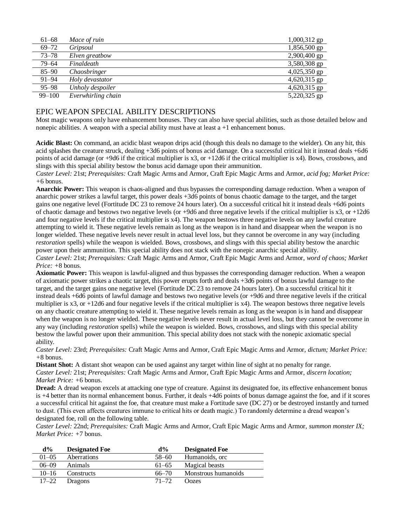| $61 - 68$  | Mace of ruin       | $1,000,312$ gp |
|------------|--------------------|----------------|
| $69 - 72$  | Gripsoul           | 1,856,500 gp   |
| $73 - 78$  | Elven greatbow     | 2,900,400 gp   |
| $79 - 64$  | Finaldeath         | 3,580,308 gp   |
| $85 - 90$  | Chaosbringer       | 4,025,350 gp   |
| $91 - 94$  | Holy devastator    | 4,620,315 gp   |
| $95 - 98$  | Unholy despoiler   | 4,620,315 gp   |
| $99 - 100$ | Everwhirling chain | 5,220,325 gp   |

# EPIC WEAPON SPECIAL ABILITY DESCRIPTIONS

Most magic weapons only have enhancement bonuses. They can also have special abilities, such as those detailed below and nonepic abilities. A weapon with a special ability must have at least a +1 enhancement bonus.

**Acidic Blast:** On command, an acidic blast weapon drips acid (though this deals no damage to the wielder). On any hit, this acid splashes the creature struck, dealing +3d6 points of bonus acid damage. On a successful critical hit it instead deals +6d6 points of acid damage (or +9d6 if the critical multiplier is x3, or +12d6 if the critical multiplier is x4). Bows, crossbows, and slings with this special ability bestow the bonus acid damage upon their ammunition.

*Caster Level:* 21st; *Prerequisites:* Craft Magic Arms and Armor, Craft Epic Magic Arms and Armor, *acid fog; Market Price: +*6 bonus.

**Anarchic Power:** This weapon is chaos-aligned and thus bypasses the corresponding damage reduction. When a weapon of anarchic power strikes a lawful target, this power deals +3d6 points of bonus chaotic damage to the target, and the target gains one negative level (Fortitude DC 23 to remove 24 hours later). On a successful critical hit it instead deals +6d6 points of chaotic damage and bestows two negative levels (or +9d6 and three negative levels if the critical multiplier is x3, or +12d6 and four negative levels if the critical multiplier is x4). The weapon bestows three negative levels on any lawful creature attempting to wield it. These negative levels remain as long as the weapon is in hand and disappear when the weapon is no longer wielded. These negative levels never result in actual level loss, but they cannot be overcome in any way (including *restoration* spells) while the weapon is wielded. Bows, crossbows, and slings with this special ability bestow the anarchic power upon their ammunition. This special ability does not stack with the nonepic anarchic special ability*.* 

*Caster Level:* 21st; *Prerequisites:* Craft Magic Arms and Armor, Craft Epic Magic Arms and Armor, *word of chaos; Market Price: +*8 bonus.

**Axiomatic Power:** This weapon is lawful-aligned and thus bypasses the corresponding damager reduction. When a weapon of axiomatic power strikes a chaotic target, this power erupts forth and deals +3d6 points of bonus lawful damage to the target, and the target gains one negative level (Fortitude DC 23 to remove 24 hours later). On a successful critical hit it instead deals +6d6 points of lawful damage and bestows two negative levels (or +9d6 and three negative levels if the critical multiplier is x3, or +12d6 and four negative levels if the critical multiplier is x4). The weapon bestows three negative levels on any chaotic creature attempting to wield it. These negative levels remain as long as the weapon is in hand and disappear when the weapon is no longer wielded. These negative levels never result in actual level loss, but they cannot be overcome in any way (including *restoration* spells) while the weapon is wielded. Bows, crossbows, and slings with this special ability bestow the lawful power upon their ammunition. This special ability does not stack with the nonepic axiomatic special ability.

*Caster Level:* 23rd; *Prerequisites:* Craft Magic Arms and Armor, Craft Epic Magic Arms and Armor, *dictum; Market Price: +*8 bonus.

**Distant Shot:** A distant shot weapon can be used against any target within line of sight at no penalty for range. *Caster Level:* 21st; *Prerequisites:* Craft Magic Arms and Armor, Craft Epic Magic Arms and Armor, *discern location; Market Price: +*6 bonus.

**Dread:** A dread weapon excels at attacking one type of creature. Against its designated foe, its effective enhancement bonus is +4 better than its normal enhancement bonus. Further, it deals +4d6 points of bonus damage against the foe, and if it scores a successful critical hit against the foe, that creature must make a Fortitude save (DC 27) or be destroyed instantly and turned to dust. (This even affects creatures immune to critical hits or death magic.) To randomly determine a dread weapon's designated foe, roll on the following table.

*Caster Level:* 22nd; *Prerequisites:* Craft Magic Arms and Armor, Craft Epic Magic Arms and Armor, *summon monster IX; Market Price: +*7 bonus.

| $d\%$     | <b>Designated Foe</b> | $d\%$     | <b>Designated Foe</b> |
|-----------|-----------------------|-----------|-----------------------|
| $01 - 05$ | Aberrations           | $58 - 60$ | Humanoids, orc        |
| $06 - 09$ | <b>Animals</b>        | $61 - 65$ | Magical beasts        |
| $10 - 16$ | Constructs            | 66–70     | Monstrous humanoids   |
| $17 - 22$ | <b>Dragons</b>        | $71 - 72$ | <b>Oozes</b>          |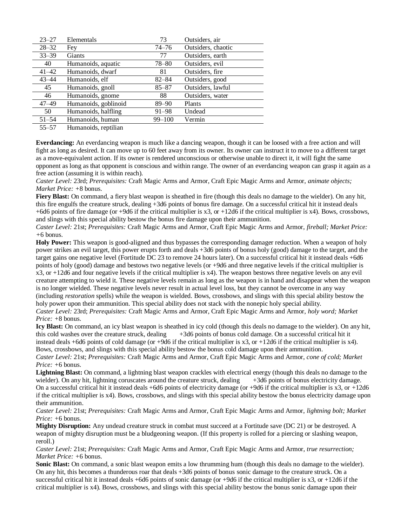| $23 - 27$ | Elementals                                                                                                  | 73         | Outsiders, air     |
|-----------|-------------------------------------------------------------------------------------------------------------|------------|--------------------|
| $28 - 32$ | Fey                                                                                                         | $74 - 76$  | Outsiders, chaotic |
| $33 - 39$ | Giants                                                                                                      | 77         | Outsiders, earth   |
| 40        | Humanoids, aquatic                                                                                          | 78–80      | Outsiders, evil    |
| $41 - 42$ | Humanoids, dwarf                                                                                            | 81         | Outsiders, fire    |
| $43 - 44$ | Humanoids, elf                                                                                              | $82 - 84$  | Outsiders, good    |
| 45        | Humanoids, gnoll                                                                                            | $85 - 87$  | Outsiders, lawful  |
| 46        | Humanoids, gnome                                                                                            | 88         | Outsiders, water   |
| $47 - 49$ | Humanoids, goblinoid                                                                                        | $89 - 90$  | Plants             |
| 50        | Humanoids, halfling                                                                                         | $91 - 98$  | Undead             |
| $51 - 54$ | Humanoids, human                                                                                            | $99 - 100$ | Vermin             |
| $- - - -$ | $\mathbf{r}$ , and $\mathbf{r}$ , and $\mathbf{r}$ , and $\mathbf{r}$ , and $\mathbf{r}$ , and $\mathbf{r}$ |            |                    |

55–57 Humanoids, reptilian

**Everdancing:** An everdancing weapon is much like a dancing weapon, though it can be loosed with a free action and will fight as long as desired. It can move up to 60 feet away from its owner. Its owner can instruct it to move to a different target as a move-equivalent action. If its owner is rendered unconscious or otherwise unable to direct it, it will fight the same opponent as long as that opponent is conscious and within range. The owner of an everdancing weapon can grasp it again as a free action (assuming it is within reach).

*Caster Level:* 23rd; *Prerequisites:* Craft Magic Arms and Armor, Craft Epic Magic Arms and Armor, *animate objects; Market Price: +*8 bonus.

**Fiery Blast:** On command, a fiery blast weapon is sheathed in fire (though this deals no damage to the wielder). On any hit, this fire engulfs the creature struck, dealing +3d6 points of bonus fire damage. On a successful critical hit it instead deals +6d6 points of fire damage (or +9d6 if the critical multiplier is x3, or +12d6 if the critical multiplier is x4). Bows, crossbows, and slings with this special ability bestow the bonus fire damage upon their ammunition.

*Caster Level:* 21st; *Prerequisites:* Craft Magic Arms and Armor, Craft Epic Magic Arms and Armor, *fireball; Market Price: +*6 bonus.

**Holy Power:** This weapon is good-aligned and thus bypasses the corresponding damager reduction. When a weapon of holy power strikes an evil target, this power erupts forth and deals +3d6 points of bonus holy (good) damage to the target, and the target gains one negative level (Fortitude DC 23 to remove 24 hours later). On a successful critical hit it instead deals +6d6 points of holy (good) damage and bestows two negative levels (or +9d6 and three negative levels if the critical multiplier is x3, or +12d6 and four negative levels if the critical multiplier is x4). The weapon bestows three negative levels on any evil creature attempting to wield it. These negative levels remain as long as the weapon is in hand and disappear when the weapon is no longer wielded. These negative levels never result in actual level loss, but they cannot be overcome in any way (including *restoration* spells) while the weapon is wielded. Bows, crossbows, and slings with this special ability bestow the holy power upon their ammunition. This special ability does not stack with the nonepic holy special ability. *Caster Level:* 23rd; *Prerequisites:* Craft Magic Arms and Armor, Craft Epic Magic Arms and Armor, *holy word; Market Price: +*8 bonus.

**Icy Blast:** On command, an icy blast weapon is sheathed in icy cold (though this deals no damage to the wielder). On any hit, this cold washes over the creature struck, dealing  $+3d6$  points of bonus cold damage. On a successful critical hit it instead deals +6d6 points of cold damage (or +9d6 if the critical multiplier is x3, or +12d6 if the critical multiplier is x4). Bows, crossbows, and slings with this special ability bestow the bonus cold damage upon their ammunition. *Caster Level:* 21st; *Prerequisites:* Craft Magic Arms and Armor, Craft Epic Magic Arms and Armor, *cone of cold; Market Price: +*6 bonus.

Lightning Blast: On command, a lightning blast weapon crackles with electrical energy (though this deals no damage to the wielder). On any hit, lightning coruscates around the creature struck, dealing +3d6 points of bonus electricity damage. On a successful critical hit it instead deals +6d6 points of electricity damage (or +9d6 if the critical multiplier is x3, or +12d6 if the critical multiplier is x4). Bows, crossbows, and slings with this special ability bestow the bonus electricity damage upon their ammunition.

*Caster Level:* 21st; *Prerequisites:* Craft Magic Arms and Armor, Craft Epic Magic Arms and Armor, *lightning bolt; Market Price: +*6 bonus.

**Mighty Disruption:** Any undead creature struck in combat must succeed at a Fortitude save (DC 21) or be destroyed. A weapon of mighty disruption must be a bludgeoning weapon. (If this property is rolled for a piercing or slashing weapon, reroll.)

*Caster Level:* 21st; *Prerequisites:* Craft Magic Arms and Armor, Craft Epic Magic Arms and Armor, *true resurrection; Market Price: +*6 bonus.

**Sonic Blast:** On command, a sonic blast weapon emits a low thrumming hum (though this deals no damage to the wielder). On any hit, this becomes a thunderous roar that deals +3d6 points of bonus sonic damage to the creature struck. On a successful critical hit it instead deals +6d6 points of sonic damage (or +9d6 if the critical multiplier is x3, or +12d6 if the critical multiplier is x4). Bows, crossbows, and slings with this special ability bestow the bonus sonic damage upon their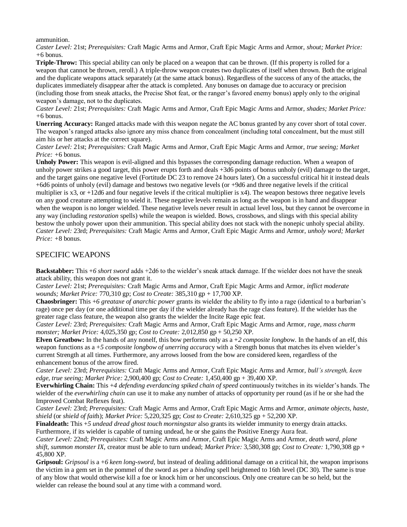ammunition.

*Caster Level:* 21st; *Prerequisites:* Craft Magic Arms and Armor, Craft Epic Magic Arms and Armor, *shout; Market Price: +*6 bonus.

**Triple-Throw:** This special ability can only be placed on a weapon that can be thrown. (If this property is rolled for a weapon that cannot be thrown, reroll.) A triple-throw weapon creates two duplicates of itself when thrown. Both the original and the duplicate weapons attack separately (at the same attack bonus). Regardless of the success of any of the attacks, the duplicates immediately disappear after the attack is completed. Any bonuses on damage due to accuracy or precision (including those from sneak attacks, the Precise Shot feat, or the ranger's favored enemy bonus) apply only to the original weapon's damage, not to the duplicates.

*Caster Level:* 21st; *Prerequisites:* Craft Magic Arms and Armor, Craft Epic Magic Arms and Armor, *shades; Market Price: +*6 bonus.

**Unerring Accuracy:** Ranged attacks made with this weapon negate the AC bonus granted by any cover short of total cover. The weapon's ranged attacks also ignore any miss chance from concealment (including total concealment, but the must still aim his or her attacks at the correct square).

*Caster Level:* 21st; *Prerequisites:* Craft Magic Arms and Armor, Craft Epic Magic Arms and Armor, *true seeing; Market Price: +*6 bonus.

**Unholy Power:** This weapon is evil-aligned and this bypasses the corresponding damage reduction. When a weapon of unholy power strikes a good target, this power erupts forth and deals +3d6 points of bonus unholy (evil) damage to the target, and the target gains one negative level (Fortitude DC 23 to remove 24 hours later). On a successful critical hit it instead deals +6d6 points of unholy (evil) damage and bestows two negative levels (or +9d6 and three negative levels if the critical multiplier is x3, or +12d6 and four negative levels if the critical multiplier is x4). The weapon bestows three negative levels on any good creature attempting to wield it. These negative levels remain as long as the weapon is in hand and disappear when the weapon is no longer wielded. These negative levels never result in actual level loss, but they cannot be overcome in any way (including *restoration* spells) while the weapon is wielded. Bows, crossbows, and slings with this special ability bestow the unholy power upon their ammunition. This special ability does not stack with the nonepic unholy special ability. *Caster Level:* 23rd; *Prerequisites:* Craft Magic Arms and Armor, Craft Epic Magic Arms and Armor, *unholy word; Market Price: +*8 bonus.

# SPECIFIC WEAPONS

**Backstabber:** This +*6 short sword* adds +2d6 to the wielder's sneak attack damage. If the wielder does not have the sneak attack ability, this weapon does not grant it.

*Caster Level:* 21st; *Prerequisites:* Craft Magic Arms and Armor, Craft Epic Magic Arms and Armor, *inflict moderate wounds; Market Price:* 770,310 gp; *Cost to Create:* 385,310 gp + 17,700 XP.

**Chaosbringer:** This +*6 greataxe of anarchic power* grants its wielder the ability to fly into a rage (identical to a barbarian's rage) once per day (or one additional time per day if the wielder already has the rage class feature). If the wielder has the greater rage class feature, the weapon also grants the wielder the Incite Rage epic feat.

*Caster Level:* 23rd; *Prerequisites:* Craft Magic Arms and Armor, Craft Epic Magic Arms and Armor, *rage, mass charm monster; Market Price:* 4,025,350 gp; *Cost to Create:* 2,012,850 gp + 50,250 XP.

**Elven Greatbow:** In the hands of any nonelf, this bow performs only as a +*2 composite longbo*w. In the hands of an elf, this weapon functions as a +*5 composite longbow of unerring accurac*y with a Strength bonus that matches its elven wielder's current Strength at all times. Furthermore, any arrows loosed from the bow are considered keen, regardless of the enhancement bonus of the arrow fired.

*Caster Level:* 23rd; *Prerequisites:* Craft Magic Arms and Armor, Craft Epic Magic Arms and Armor, *bull's strength, keen edge, true seeing; Market Price:* 2,900,400 gp; *Cost to Create:* 1,450,400 gp + 39,400 XP.

**Everwhirling Chain:** This +*4 defending everdancing spiked chain of speed* continuously twitches in its wielder's hands. The wielder of the *everwhirling chain* can use it to make any number of attacks of opportunity per round (as if he or she had the Improved Combat Reflexes feat).

*Caster Level:* 23rd; *Prerequisites:* Craft Magic Arms and Armor, Craft Epic Magic Arms and Armor, *animate objects, haste, shield* (or *shield of fait*h); *Market Price:* 5,220,325 gp; *Cost to Create:* 2,610,325 gp + 52,200 XP.

**Finaldeath:** This +*5 undead dread ghost touch morningstar* also grants its wielder immunity to energy drain attacks. Furthermore, if its wielder is capable of turning undead, he or she gains the Positive Energy Aura feat.

*Caster Level:* 22nd; *Prerequisites:* Craft Magic Arms and Armor, Craft Epic Magic Arms and Armor, *death ward, plane shift, summon monster IX,* creator must be able to turn undead; *Market Price:* 3,580,308 gp; *Cost to Create:* 1,790,308 gp + 45,800 XP.

**Gripsoul:** *Gripsoul* is a +*6 keen long-sword,* but instead of dealing additional damage on a critical hit, the weapon imprisons the victim in a gem set in the pommel of the sword as per a *binding* spell heightened to 16th level (DC 30). The same is true of any blow that would otherwise kill a foe or knock him or her unconscious. Only one creature can be so held, but the wielder can release the bound soul at any time with a command word.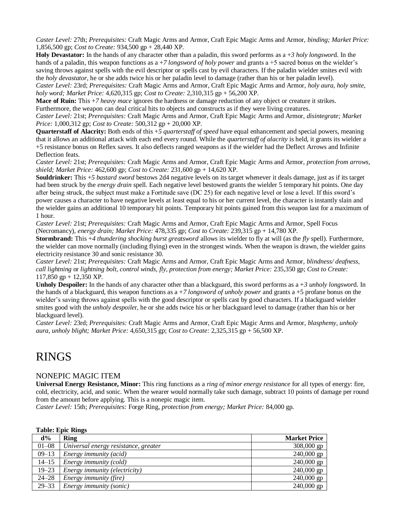*Caster Level:* 27th; *Prerequisites:* Craft Magic Arms and Armor, Craft Epic Magic Arms and Armor, *binding; Market Price:*  1,856,500 gp; *Cost to Create:* 934,500 gp + 28,440 XP.

**Holy Devastator:** In the hands of any character other than a paladin, this sword performs as a +*3 holy longswor*d. In the hands of a paladin, this weapon functions as a +*7 longsword of holy power* and grants a +5 sacred bonus on the wielder's saving throws against spells with the evil descriptor or spells cast by evil characters. If the paladin wielder smites evil with the *holy devastator,* he or she adds twice his or her paladin level to damage (rather than his or her paladin level).

*Caster Level:* 23rd; *Prerequisites:* Craft Magic Arms and Armor, Craft Epic Magic Arms and Armor, *holy aura, holy smite, holy word; Market Price:* 4,620,315 gp; *Cost to Create:* 2,310,315 gp + 56,200 XP.

**Mace of Ruin:** This +*7 heavy mace* ignores the hardness or damage reduction of any object or creature it strikes.

Furthermore, the weapon can deal critical hits to objects and constructs as if they were living creatures.

*Caster Level:* 21st; *Prerequisites:* Craft Magic Arms and Armor, Craft Epic Magic Arms and Armor, *disintegrate; Market Price:* 1,000,312 gp; *Cost to Create:* 500,312 gp + 20,000 XP.

**Quarterstaff of Alacrity:** Both ends of this +*5 quarterstaff of speed* have equal enhancement and special powers, meaning that it allows an additional attack with each end every round. While the *quarterstaff of alacrity* is held, it grants its wielder a +5 resistance bonus on Reflex saves. It also deflects ranged weapons as if the wielder had the Deflect Arrows and Infinite Deflection feats.

*Caster Level:* 21st; *Prerequisites:* Craft Magic Arms and Armor, Craft Epic Magic Arms and Armor, *protection from arrows, shield; Market Price:* 462,600 gp; *Cost to Create:* 231,600 gp + 14,620 XP.

**Souldrinker:** This +*5 bastard sword* bestows 2d4 negative levels on its target whenever it deals damage, just as if its target had been struck by the *energy drain* spell. Each negative level bestowed grants the wielder 5 temporary hit points. One day after being struck, the subject must make a Fortitude save (DC 25) for each negative level or lose a level. If this sword's power causes a character to have negative levels at least equal to his or her current level, the character is instantly slain and the wielder gains an additional 10 temporary hit points. Temporary hit points gained from this weapon last for a maximum of 1 hour.

*Caster Level:* 21st; *Prerequisites:* Craft Magic Arms and Armor, Craft Epic Magic Arms and Armor, Spell Focus (Necromancy), *energy drain; Market Price:* 478,335 gp; *Cost to Create:* 239,315 gp + 14,780 XP.

**Stormbrand:** This +*4 thundering shocking burst greatsword* allows its wielder to fly at will (as the *fly* spell). Furthermore, the wielder can move normally (including flying) even in the strongest winds. When the weapon is drawn, the wielder gains electricity resistance 30 and sonic resistance 30.

*Caster Level:* 21st; *Prerequisites:* Craft Magic Arms and Armor, Craft Epic Magic Arms and Armor, *blindness/ deafness, call lightning* or *lightning bolt, control winds, fly, protection from energy; Market Price:* 235,350 gp; *Cost to Create:*  117,850 gp + 12,350 XP.

**Unholy Despoiler:** In the hands of any character other than a blackguard, this sword performs as a +*3 unholy longswor*d. In the hands of a blackguard, this weapon functions as a +*7 longsword of unholy power* and grants a +5 profane bonus on the wielder's saving throws against spells with the good descriptor or spells cast by good characters. If a blackguard wielder smites good with the *unholy despoile*r, he or she adds twice his or her blackguard level to damage (rather than his or her blackguard level).

*Caster Level:* 23rd; *Prerequisites:* Craft Magic Arms and Armor, Craft Epic Magic Arms and Armor, *blasphemy, unholy aura, unholy blight; Market Price:* 4,650,315 gp; *Cost to Create:* 2,325,315 gp + 56,500 XP.

# RINGS

# NONEPIC MAGIC ITEM

**Universal Energy Resistance, Minor:** This ring functions as a *ring of minor energy resistance* for all types of energy: fire, cold, electricity, acid, and sonic. When the wearer would normally take such damage, subtract 10 points of damage per round from the amount before applying. This is a nonepic magic item.

*Caster Level:* 15th; *Prerequisites:* Forge Ring, *protection from energy; Market Price:* 84,000 gp.

| $d\%$     | Ring                                 | <b>Market Price</b> |
|-----------|--------------------------------------|---------------------|
| $01 - 08$ | Universal energy resistance, greater | 308,000 gp          |
| $09 - 13$ | Energy immunity (acid)               | $240,000$ gp        |
| $14 - 15$ | Energy immunity (cold)               | $240,000$ gp        |
| $19 - 23$ | Energy immunity (electricity)        | $240,000$ gp        |
| $24 - 28$ | Energy immunity (fire)               | $240,000$ gp        |
| $29 - 33$ | Energy immunity (sonic)              | $240,000$ gp        |

# **Table: Epic Rings**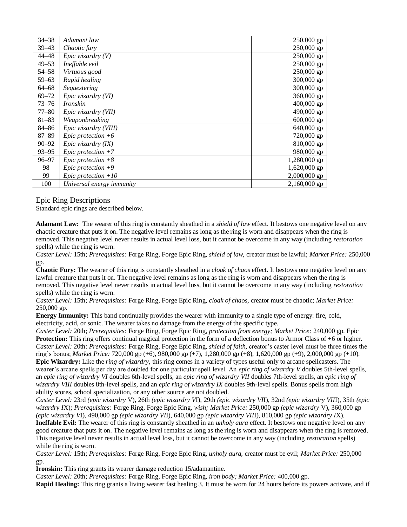| $34 - 38$<br>Adamant law<br>$39 - 43$<br>Chaotic fury | $250,000$ gp<br>250,000 gp |
|-------------------------------------------------------|----------------------------|
|                                                       |                            |
|                                                       |                            |
| $44 - 48$<br>Epic wizardry $(V)$                      | 250,000 gp                 |
| $49 - 53$<br>Ineffable evil                           | 250,000 gp                 |
| $54 - 58$<br>Virtuous good                            | 250,000 gp                 |
| $59 - 63$<br>Rapid healing                            | 300,000 gp                 |
| Sequestering<br>$64 - 68$                             | 300,000 gp                 |
| Epic wizardry (VI)<br>$69 - 72$                       | 360,000 gp                 |
| $73 - 76$<br><i>Ironskin</i>                          | $400,000$ gp               |
| $77 - 80$<br>Epic wizardry (VII)                      | 490,000 gp                 |
| Weaponbreaking<br>$81 - 83$                           | $600,000$ gp               |
| Epic wizardry (VIII)<br>$84 - 86$                     | 640,000 gp                 |
| $87 - 89$<br>Epic protection $+6$                     | 720,000 gp                 |
| $90 - 92$<br>Epic wizardry $(IX)$                     | 810,000 gp                 |
| $93 - 95$<br>Epic protection $+7$                     | 980,000 gp                 |
| Epic protection $+8$<br>$96 - 97$                     | 1,280,000 gp               |
| Epic protection $+9$<br>98                            | $1,620,000$ gp             |
| Epic protection $+10$<br>99                           | 2,000,000 gp               |
| 100<br>Universal energy immunity                      | 2,160,000 gp               |

### Epic Ring Descriptions

Standard epic rings are described below.

**Adamant Law:** The wearer of this ring is constantly sheathed in a *shield of law* effect. It bestows one negative level on any chaotic creature that puts it on. The negative level remains as long as the ring is worn and disappears when the ring is removed. This negative level never results in actual level loss, but it cannot be overcome in any way (including *restoration*  spells) while the ring is worn.

*Caster Level:* 15th; *Prerequisites:* Forge Ring, Forge Epic Ring, *shield of law,* creator must be lawful; *Market Price:* 250,000 gp.

**Chaotic Fury:** The wearer of this ring is constantly sheathed in a *cloak of chaos* effect. It bestows one negative level on any lawful creature that puts it on. The negative level remains as long as the ring is worn and disappears when the ring is removed. This negative level never results in actual level loss, but it cannot be overcome in any way (including *restoration*  spells) while the ring is worn.

*Caster Level:* 15th; *Prerequisites:* Forge Ring, Forge Epic Ring, *cloak of chaos,* creator must be chaotic; *Market Price:*  250,000 gp.

**Energy Immunity:** This band continually provides the wearer with immunity to a single type of energy: fire, cold, electricity, acid, or sonic. The wearer takes no damage from the energy of the specific type.

*Caster Level:* 20th; *Prerequisites:* Forge Ring, Forge Epic Ring, *protection from energy; Market Price:* 240,000 gp. Epic **Protection:** This ring offers continual magical protection in the form of a deflection bonus to Armor Class of  $+6$  or higher. *Caster Level:* 20th: *Prerequisites:* Forge Ring, Forge Epic Ring, *shield of faith,* creator's caster level must be three times the ring's bonus; *Market Price:* 720,000 gp (+6), 980,000 gp (+7), 1,280,000 gp (+8), 1,620,000 gp (+9), 2,000,000 gp (+10). **Epic Wizardry:** Like the *ring of wizardry,* this ring comes in a variety of types useful only to arcane spellcasters. The wearer's arcane spells per day are doubled for one particular spell level. An *epic ring of wizardry V* doubles 5th-level spells, an *epic ring of wizardry VI* doubles 6th-level spells, an *epic ring of wizardry VII* doubles 7th-level spells, an *epic ring of wizardry VIII* doubles 8th-level spells, and an *epic ring of wizardry IX* doubles 9th-level spells. Bonus spells from high ability scores, school specialization, or any other source are not doubled.

*Caster Level:* 23rd *(epic wizardry* V), 26th *(epic wizardry V*I), 29th *(epic wizardry VI*I), 32nd *(epic wizardry VII*I), 35th *(epic wizardry I*X); *Prerequisites:* Forge Ring, Forge Epic Ring, *wish; Market Price:* 250,000 gp *(epic wizardry* V), 360,000 gp *(epic wizardry V*I), 490,000 gp *(epic wizardry VI*I), 640,000 gp *(epic wizardry VII*I), 810,000 gp *(epic wizardry I*X).

**Ineffable Evil:** The wearer of this ring is constantly sheathed in an *unholy aura* effect. It bestows one negative level on any good creature that puts it on. The negative level remains as long as the ring is worn and disappears when the ring is removed. This negative level never results in actual level loss, but it cannot be overcome in any way (including *restoration* spells) while the ring is worn.

*Caster Level:* 15th; *Prerequisites:* Forge Ring, Forge Epic Ring, *unholy aura,* creator must be evil; *Market Price:* 250,000 gp.

**Ironskin:** This ring grants its wearer damage reduction 15/adamantine.

*Caster Level:* 20th; *Prerequisites:* Forge Ring, Forge Epic Ring, *iron body; Market Price:* 400,000 gp.

**Rapid Healing:** This ring grants a living wearer fast healing 3. It must be worn for 24 hours before its powers activate, and if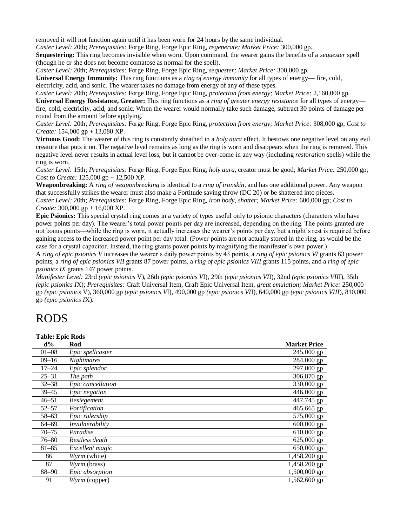removed it will not function again until it has been worn for 24 hours by the same individual.

*Caster Level:* 20th; *Prerequisites:* Forge Ring, Forge Epic Ring, *regenerate; Market Price:* 300,000 gp.

**Sequestering:** This ring becomes invisible when worn. Upon command, the wearer gains the benefits of a *sequester* spell (though he or she does not become comatose as normal for the spell).

*Caster Level:* 20th; *Prerequisites:* Forge Ring, Forge Epic Ring, *sequester; Market Price:* 300,000 gp.

**Universal Energy Immunity:** This ring functions as a *ring of energy immunity* for all types of energy— fire, cold, electricity, acid, and sonic. The wearer takes no damage from energy of any of these types.

*Caster Level:* 20th; *Prerequisites:* Forge Ring, Forge Epic Ring, *protection from energy; Market Price:* 2,160,000 gp.

**Universal Energy Resistance, Greater:** This ring functions as a *ring of greater energy resistance* for all types of energy fire, cold, electricity, acid, and sonic. When the wearer would normally take such damage, subtract 30 points of damage per round from the amount before applying.

*Caster Level:* 20th; *Prerequisites:* Forge Ring, Forge Epic Ring, *protection from energy; Market Price:* 308,000 gp; *Cost to Create:* 154,000 gp + 13,080 XP.

**Virtuous Good:** The wearer of this ring is constantly sheathed in a *holy aura* effect. It bestows one negative level on any evil creature that puts it on. The negative level remains as long as the ring is worn and disappears when the ring is removed. This negative level never results in actual level loss, but it cannot be over-come in any way (including *restoration* spells) while the ring is worn.

*Caster Level:* 15th; *Prerequisites:* Forge Ring, Forge Epic Ring, *holy aura,* creator must be good; *Market Price:* 250,000 gp; *Cost to Create:* 125,000 gp + 12,500 XP.

**Weaponbreaking:** A *ring of weaponbreaking* is identical to a *ring of ironskin,* and has one additional power. Any weapon that successfully strikes the wearer must also make a Fortitude saving throw (DC 20) or be shattered into pieces. *Caster Level:* 20th; *Prerequisites:* Forge Ring, Forge Epic Ring, *iron body, shatter; Market Price:* 600,000 gp; *Cost to Create:* 300,000 gp + 16,000 XP.

**Epic Psionics:** This special crystal ring comes in a variety of types useful only to psionic characters (characters who have power points per day). The wearer's total power points per day are increased, depending on the ring. The points granted are not bonus points—while the ring is worn, it actually increases the wearer's points per day, but a night's rest is required before gaining access to the increased power point per day total. (Power points are not actually stored in the ring, as would be the case for a crystal capacitor. Instead, the ring grants power points by magnifying the manifester's own power.)

A *ring of epic psionics V* increases the wearer's daily power points by 43 points, a *ring of epic psionics VI* grants 63 power points, a *ring of epic psionics VII* grants 87 power points, a *ring of epic psionics VIII* grants 115 points, and a *ring of epic psionics IX* grants 147 power points.

*Manifester Level:* 23rd *(epic psionics* V), 26th *(epic psionics V*I), 29th *(epic psionics VI*I), 32nd *(epic psionics VII*I), 35th *(epic psionics I*X); *Prerequisites:* Craft Universal Item, Craft Epic Universal Item, *great emulation; Market Price:* 250,000 gp *(epic psionics* V), 360,000 gp *(epic psionics V*I), 490,000 gp *(epic psionics VI*I), 640,000 gp *(epic psionics VIII*), 810,000 gp *(epic psionics I*X).

# RODS

#### **Table: Epic Rods**

| $\sim$ $\sim$ $\sim$ $\sim$ $\sim$ |                    |                     |
|------------------------------------|--------------------|---------------------|
| $d\%$                              | Rod                | <b>Market Price</b> |
| $01 - 08$                          | Epic spellcaster   | 245,000 gp          |
| $09 - 16$                          | <b>Nightmares</b>  | 284,000 gp          |
| $17 - 24$                          | Epic splendor      | 297,000 gp          |
| $25 - 31$                          | The path           | 306,870 gp          |
| $32 - 38$                          | Epic cancellation  | 330,000 gp          |
| $39 - 45$                          | Epic negation      | 446,000 gp          |
| $46 - 51$                          | <b>Besiegement</b> | 447,745 gp          |
| $52 - 57$                          | Fortification      | 465,665 gp          |
| $58 - 63$                          | Epic rulership     | 575,000 gp          |
| $64 - 69$                          | Invulnerability    | $600,000$ gp        |
| $70 - 75$                          | Paradise           | 610,000 gp          |
| $76 - 80$                          | Restless death     | 625,000 gp          |
| $81 - 85$                          | Excellent magic    | 650,000 gp          |
| 86                                 | Wyrm (white)       | 1,458,200 gp        |
| 87                                 | Wyrm (brass)       | 1,458,200 gp        |
| $88 - 90$                          | Epic absorption    | 1,500,000 gp        |
| 91                                 | Wyrm (copper)      | 1,562,600 gp        |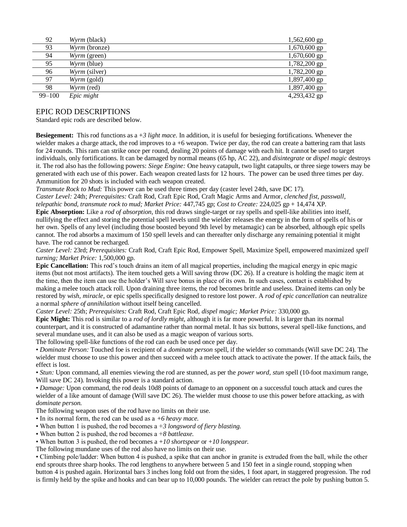| 92         | Wyrm (black)         | $1,562,600$ gp |
|------------|----------------------|----------------|
| 93         | <i>Wyrm</i> (bronze) | $1,670,600$ gp |
| 94         | Wyrm (green)         | $1,670,600$ gp |
| 95         | Wyrm (blue)          | 1,782,200 gp   |
| 96         | Wyrm (silver)        | 1,782,200 gp   |
| 97         | $Wyrm$ (gold)        | 1,897,400 gp   |
| 98         | Wyrm (red)           | 1,897,400 gp   |
| $99 - 100$ | Epic might           | 4,293,432 gp   |

# EPIC ROD DESCRIPTIONS

Standard epic rods are described below.

**Besiegement:** This rod functions as  $a +3$  *light mace*. In addition, it is useful for besieging fortifications. Whenever the wielder makes a charge attack, the rod improves to  $a + 6$  weapon. Twice per day, the rod can create a battering ram that lasts for 24 rounds. This ram can strike once per round, dealing 20 points of damage with each hit. It cannot be used to target individuals, only fortifications. It can be damaged by normal means (65 hp, AC 22), and *disintegrate* or *dispel magic* destroys it. The rod also has the following powers: *Siege Engine:* One heavy catapult, two light catapults, or three siege towers may be generated with each use of this power. Each weapon created lasts for 12 hours. The power can be used three times per day. Ammunition for 20 shots is included with each weapon created.

*Transmute Rock to Mud:* This power can be used three times per day (caster level 24th, save DC 17).

*Caster Level:* 24th; *Prerequisites:* Craft Rod, Craft Epic Rod, Craft Magic Arms and Armor, *clenched fist, passwall, telepathic bond, transmute rock to mud; Market Price:* 447,745 gp; *Cost to Create:* 224,025 gp + 14,474 XP.

**Epic Absorption:** Like a *rod of absorption,* this rod draws single-target or ray spells and spell-like abilities into itself, nullifying the effect and storing the potential spell levels until the wielder releases the energy in the form of spells of his or her own. Spells of any level (including those boosted beyond 9th level by metamagic) can be absorbed, although epic spells cannot. The rod absorbs a maximum of 150 spell levels and can thereafter only discharge any remaining potential it might have. The rod cannot be recharged.

*Caster Level:* 23rd; *Prerequisites:* Craft Rod, Craft Epic Rod, Empower Spell, Maximize Spell, empowered maximized *spell turning; Market Price:* 1,500,000 gp.

**Epic Cancellation:** This rod's touch drains an item of all magical properties, including the magical energy in epic magic items (but not most artifacts). The item touched gets a Will saving throw (DC 26). If a creature is holding the magic item at the time, then the item can use the holder's Will save bonus in place of its own. In such cases, contact is established by making a melee touch attack roll. Upon draining three items, the rod becomes brittle and useless. Drained items can only be restored by *wish, miracle,* or epic spells specifically designed to restore lost power. A *rod of epic cancellation* can neutralize a normal *sphere of annihilation* without itself being cancelled.

*Caster Level:* 25th; *Prerequisites:* Craft Rod, Craft Epic Rod, *dispel magic; Market Price:* 330,000 gp.

**Epic Might:** This rod is similar to a *rod of lordly might,* although it is far more powerful. It is larger than its normal counterpart, and it is constructed of adamantine rather than normal metal. It has six buttons, several spell-like functions, and several mundane uses, and it can also be used as a magic weapon of various sorts.

The following spell-like functions of the rod can each be used once per day.

• *Dominate Person:* Touched foe is recipient of a *dominate person* spell, if the wielder so commands (Will save DC 24). The wielder must choose to use this power and then succeed with a melee touch attack to activate the power. If the attack fails, the effect is lost.

• *Stun:* Upon command, all enemies viewing the rod are stunned, as per the *power word, stun* spell (10-foot maximum range, Will save DC 24). Invoking this power is a standard action.

• *Damage:* Upon command, the rod deals 10d8 points of damage to an opponent on a successful touch attack and cures the wielder of a like amount of damage (Will save DC 26). The wielder must choose to use this power before attacking, as with *dominate person.*

The following weapon uses of the rod have no limits on their use.

- In its normal form, the rod can be used as a +*6 heavy mace.*
- When button 1 is pushed, the rod becomes a +*3 longsword of fiery blasting.*

• When button 2 is pushed, the rod becomes a +*8 battleaxe.* 

• When button 3 is pushed, the rod becomes a +*10 shortspear* or +*10 longspear.*

The following mundane uses of the rod also have no limits on their use.

• Climbing pole/ladder: When button 4 is pushed, a spike that can anchor in granite is extruded from the ball, while the other end sprouts three sharp hooks. The rod lengthens to anywhere between 5 and 150 feet in a single round, stopping when button 4 is pushed again. Horizontal bars 3 inches long fold out from the sides, 1 foot apart, in staggered progression. The rod is firmly held by the spike and hooks and can bear up to 10,000 pounds. The wielder can retract the pole by pushing button 5.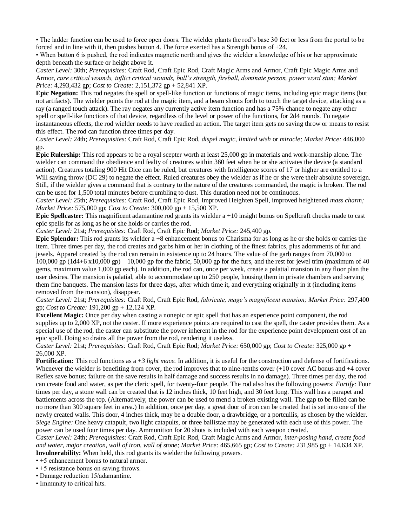• The ladder function can be used to force open doors. The wielder plants the rod's base 30 feet or less from the portal to be forced and in line with it, then pushes button 4. The force exerted has a Strength bonus of  $+24$ .

• When button 6 is pushed, the rod indicates magnetic north and gives the wielder a knowledge of his or her approximate depth beneath the surface or height above it.

*Caster Level:* 30th; *Prerequisites:* Craft Rod, Craft Epic Rod, Craft Magic Arms and Armor, Craft Epic Magic Arms and Armor, *cure critical wounds, inflict critical wounds, bull's strength, fireball, dominate person, power word stun; Market Price:* 4,293,432 gp; *Cost to Create:* 2,151,372 gp + 52,841 XP.

**Epic Negation:** This rod negates the spell or spell-like function or functions of magic items, including epic magic items (but not artifacts). The wielder points the rod at the magic item, and a beam shoots forth to touch the target device, attacking as a ray (a ranged touch attack). The ray negates any currently active item function and has a 75% chance to negate any other spell or spell-like functions of that device, regardless of the level or power of the functions, for 2d4 rounds. To negate instantaneous effects, the rod wielder needs to have readied an action. The target item gets no saving throw or means to resist this effect. The rod can function three times per day.

*Caster Level:* 24th; *Prerequisites:* Craft Rod, Craft Epic Rod, *dispel magic, limited wish* or *miracle; Market Price:* 446,000 gp.

**Epic Rulership:** This rod appears to be a royal scepter worth at least 25,000 gp in materials and work-manship alone. The wielder can command the obedience and fealty of creatures within 360 feet when he or she activates the device (a standard action). Creatures totaling 900 Hit Dice can be ruled, but creatures with Intelligence scores of 17 or higher are entitled to a Will saving throw (DC 29) to negate the effect. Ruled creatures obey the wielder as if he or she were their absolute sovereign. Still, if the wielder gives a command that is contrary to the nature of the creatures commanded, the magic is broken. The rod can be used for 1,500 total minutes before crumbling to dust. This duration need not be continuous.

*Caster Level:* 25th; *Prerequisites:* Craft Rod, Craft Epic Rod, Improved Heighten Spell, improved heightened *mass charm; Market Price:* 575,000 gp; *Cost to Create:* 300,000 gp + 15,500 XP.

**Epic Spellcaster:** This magnificent adamantine rod grants its wielder a +10 insight bonus on Spellcraft checks made to cast epic spells for as long as he or she holds or carries the rod.

*Caster Level:* 21st; *Prerequisites:* Craft Rod, Craft Epic Rod; *Market Price:* 245,400 gp.

**Epic Splendor:** This rod grants its wielder a +8 enhancement bonus to Charisma for as long as he or she holds or carries the item. Three times per day, the rod creates and garbs him or her in clothing of the finest fabrics, plus adornments of fur and jewels. Apparel created by the rod can remain in existence up to 24 hours. The value of the garb ranges from 70,000 to 100,000 gp ( $1d4+6$  x $10,000$  gp) $-10,000$  gp for the fabric, 50,000 gp for the furs, and the rest for jewel trim (maximum of 40 gems, maximum value 1,000 gp each). In addition, the rod can, once per week, create a palatial mansion in any floor plan the user desires. The mansion is palatial, able to accommodate up to 250 people, housing them in private chambers and serving them fine banquets. The mansion lasts for three days, after which time it, and everything originally in it (including items removed from the mansion), disappear.

*Caster Level:* 21st; *Prerequisites:* Craft Rod, Craft Epic Rod, *fabricate, mage's magnificent mansion; Market Price:* 297,400 gp; *Cost to Create:* 191,200 gp + 12,124 XP.

**Excellent Magic:** Once per day when casting a nonepic or epic spell that has an experience point component, the rod supplies up to 2,000 XP, not the caster. If more experience points are required to cast the spell, the caster provides them. As a special use of the rod, the caster can substitute the power inherent in the rod for the experience point development cost of an epic spell. Doing so drains all the power from the rod, rendering it useless.

*Caster Level:* 21st; *Prerequisites:* Craft Rod, Craft Epic Rod; *Market Price:* 650,000 gp; *Cost to Create:* 325,000 gp + 26,000 XP.

**Fortification:** This rod functions as a +*3 light mace.* In addition, it is useful for the construction and defense of fortifications. Whenever the wielder is benefiting from cover, the rod improves that to nine-tenths cover  $(+10$  cover AC bonus and  $+4$  cover Reflex save bonus; failure on the save results in half damage and success results in no damage). Three times per day, the rod can create food and water, as per the cleric spell, for twenty-four people. The rod also has the following powers: *Fortify:* Four times per day, a stone wall can be created that is 12 inches thick, 10 feet high, and 30 feet long. This wall has a parapet and battlements across the top. (Alternatively, the power can be used to mend a broken existing wall. The gap to be filled can be no more than 300 square feet in area.) In addition, once per day, a great door of iron can be created that is set into one of the newly created walls. This door, 4 inches thick, may be a double door, a drawbridge, or a portcullis, as chosen by the wielder. *Siege Engine:* One heavy catapult, two light catapults, or three ballistae may be generated with each use of this power. The power can be used four times per day. Ammunition for 20 shots is included with each weapon created.

*Caster Level:* 24th; *Prerequisites:* Craft Rod, Craft Epic Rod, Craft Magic Arms and Armor, *inter-posing hand, create food and water, major creation, wall of iron, wall of stone; Market Price:* 465,665 gp; *Cost to Create:* 231,985 gp + 14,634 XP. **Invulnerability:** When held, this rod grants its wielder the following powers.

• +5 enhancement bonus to natural armor.

• +5 resistance bonus on saving throws.

• Damage reduction 15/adamantine.

• Immunity to critical hits.